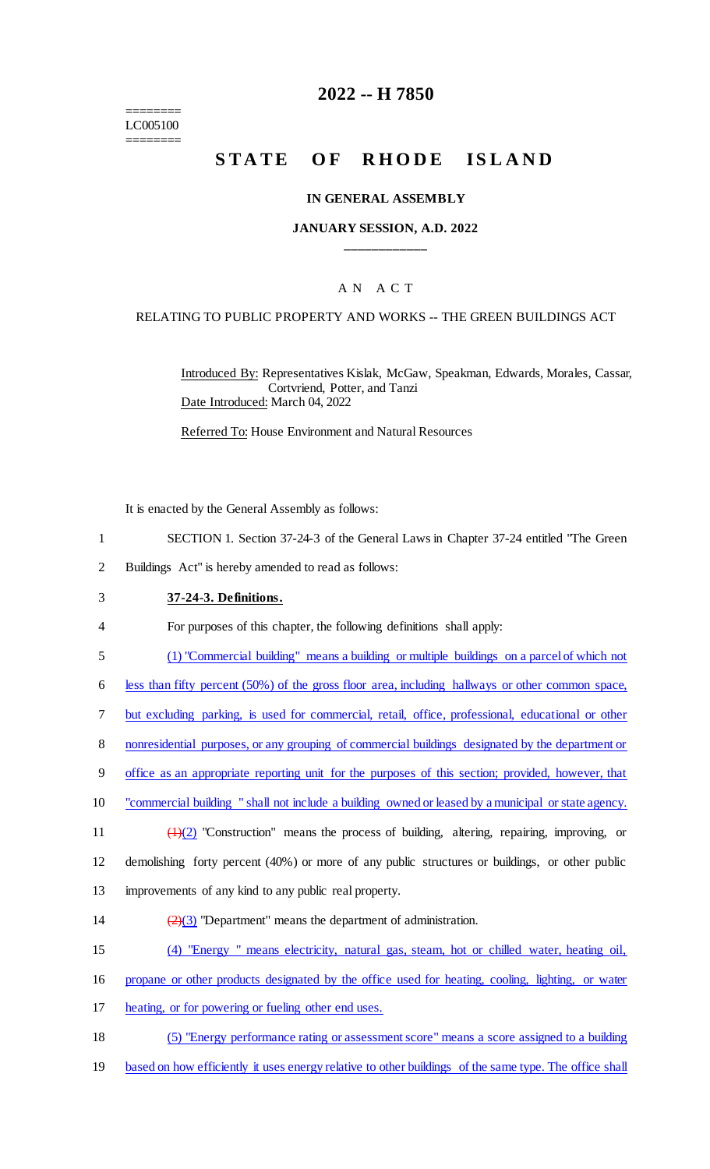======== LC005100 ========

## **2022 -- H 7850**

# STATE OF RHODE ISLAND

#### **IN GENERAL ASSEMBLY**

### **JANUARY SESSION, A.D. 2022 \_\_\_\_\_\_\_\_\_\_\_\_**

## A N A C T

#### RELATING TO PUBLIC PROPERTY AND WORKS -- THE GREEN BUILDINGS ACT

Introduced By: Representatives Kislak, McGaw, Speakman, Edwards, Morales, Cassar, Cortvriend, Potter, and Tanzi Date Introduced: March 04, 2022

Referred To: House Environment and Natural Resources

It is enacted by the General Assembly as follows:

- 1 SECTION 1. Section 37-24-3 of the General Laws in Chapter 37-24 entitled "The Green
- 2 Buildings Act" is hereby amended to read as follows:
- 3 **37-24-3. Definitions.**
- 4 For purposes of this chapter, the following definitions shall apply:
- 5 (1) "Commercial building" means a building or multiple buildings on a parcel of which not

6 less than fifty percent (50%) of the gross floor area, including hallways or other common space,

- 7 but excluding parking, is used for commercial, retail, office, professional, educational or other
- 8 nonresidential purposes, or any grouping of commercial buildings designated by the department or
- 9 office as an appropriate reporting unit for the purposes of this section; provided, however, that
- 10 "commercial building " shall not include a building owned or leased by a municipal or state agency.
- 11  $\left(\frac{1}{2}\right)$  "Construction" means the process of building, altering, repairing, improving, or

12 demolishing forty percent (40%) or more of any public structures or buildings, or other public

- 13 improvements of any kind to any public real property.
- 14  $\left(\frac{2}{3}\right)$  "Department" means the department of administration.
- 15 (4) "Energy " means electricity, natural gas, steam, hot or chilled water, heating oil,
- 16 propane or other products designated by the office used for heating, cooling, lighting, or water
- 17 heating, or for powering or fueling other end uses.
- 18 (5) "Energy performance rating or assessment score" means a score assigned to a building
- 19 based on how efficiently it uses energy relative to other buildings of the same type. The office shall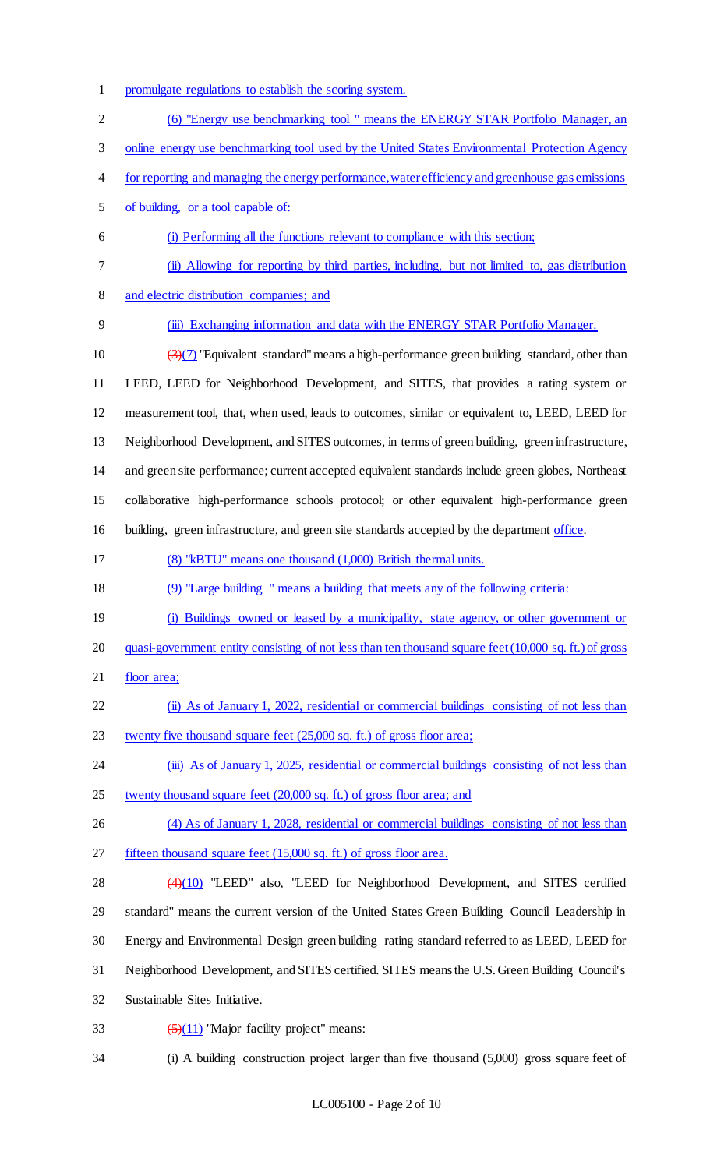- promulgate regulations to establish the scoring system.
- (6) "Energy use benchmarking tool " means the ENERGY STAR Portfolio Manager, an
- online energy use benchmarking tool used by the United States Environmental Protection Agency
- for reporting and managing the energy performance, water efficiency and greenhouse gas emissions
- of building, or a tool capable of:
- (i) Performing all the functions relevant to compliance with this section;
- (ii) Allowing for reporting by third parties, including, but not limited to, gas distribution
- and electric distribution companies; and
- (iii) Exchanging information and data with the ENERGY STAR Portfolio Manager.
- 10  $\left(\frac{3}{7}\right)$  "Equivalent standard" means a high-performance green building standard, other than LEED, LEED for Neighborhood Development, and SITES, that provides a rating system or measurement tool, that, when used, leads to outcomes, similar or equivalent to, LEED, LEED for Neighborhood Development, and SITES outcomes, in terms of green building, green infrastructure, and green site performance; current accepted equivalent standards include green globes, Northeast collaborative high-performance schools protocol; or other equivalent high-performance green 16 building, green infrastructure, and green site standards accepted by the department office.
- (8) "kBTU" means one thousand (1,000) British thermal units.
- (9) "Large building " means a building that meets any of the following criteria:
- (i) Buildings owned or leased by a municipality, state agency, or other government or
- quasi-government entity consisting of not less than ten thousand square feet(10,000 sq. ft.) of gross
- 21 floor area;
- (ii) As of January 1, 2022, residential or commercial buildings consisting of not less than twenty five thousand square feet (25,000 sq. ft.) of gross floor area;
- 24 (iii) As of January 1, 2025, residential or commercial buildings consisting of not less than
- 25 twenty thousand square feet (20,000 sq. ft.) of gross floor area; and
- (4) As of January 1, 2028, residential or commercial buildings consisting of not less than fifteen thousand square feet (15,000 sq. ft.) of gross floor area.
- (4)(10) "LEED" also, "LEED for Neighborhood Development, and SITES certified standard" means the current version of the United States Green Building Council Leadership in Energy and Environmental Design green building rating standard referred to as LEED, LEED for Neighborhood Development, and SITES certified. SITES means the U.S. Green Building Council's Sustainable Sites Initiative.
- 33  $\left(\frac{5}{11}\right)$  "Major facility project" means:
- (i) A building construction project larger than five thousand (5,000) gross square feet of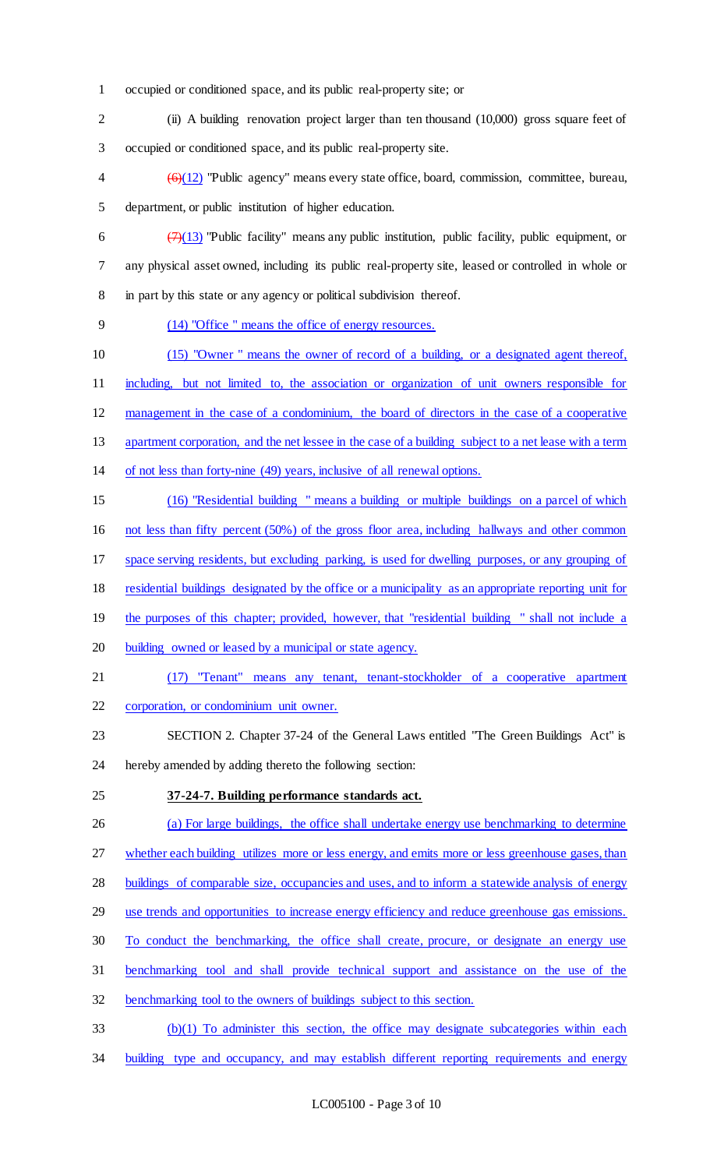- occupied or conditioned space, and its public real-property site; or
- (ii) A building renovation project larger than ten thousand (10,000) gross square feet of occupied or conditioned space, and its public real-property site.
- $4 \left(6\right)(12)$  "Public agency" means every state office, board, commission, committee, bureau, department, or public institution of higher education.
- 6  $\left(\frac{7}{13}\right)$  "Public facility" means any public institution, public facility, public equipment, or any physical asset owned, including its public real-property site, leased or controlled in whole or in part by this state or any agency or political subdivision thereof.
- (14) "Office " means the office of energy resources.
- (15) "Owner " means the owner of record of a building, or a designated agent thereof,
- including, but not limited to, the association or organization of unit owners responsible for
- management in the case of a condominium, the board of directors in the case of a cooperative
- apartment corporation, and the net lessee in the case of a building subject to a net lease with a term
- of not less than forty-nine (49) years, inclusive of all renewal options.
- (16) "Residential building " means a building or multiple buildings on a parcel of which not less than fifty percent (50%) of the gross floor area, including hallways and other common
- space serving residents, but excluding parking, is used for dwelling purposes, or any grouping of
- residential buildings designated by the office or a municipality as an appropriate reporting unit for
- 19 the purposes of this chapter; provided, however, that "residential building " shall not include a
- building owned or leased by a municipal or state agency.
- (17) "Tenant" means any tenant, tenant-stockholder of a cooperative apartment
- corporation, or condominium unit owner.
- SECTION 2. Chapter 37-24 of the General Laws entitled "The Green Buildings Act" is hereby amended by adding thereto the following section:
- 

## **37-24-7. Building performance standards act.**

- (a) For large buildings, the office shall undertake energy use benchmarking to determine
- 27 whether each building utilizes more or less energy, and emits more or less greenhouse gases, than
- buildings of comparable size, occupancies and uses, and to inform a statewide analysis of energy
- use trends and opportunities to increase energy efficiency and reduce greenhouse gas emissions.
- To conduct the benchmarking, the office shall create, procure, or designate an energy use
- benchmarking tool and shall provide technical support and assistance on the use of the
- benchmarking tool to the owners of buildings subject to this section.
- (b)(1) To administer this section, the office may designate subcategories within each
- 34 building type and occupancy, and may establish different reporting requirements and energy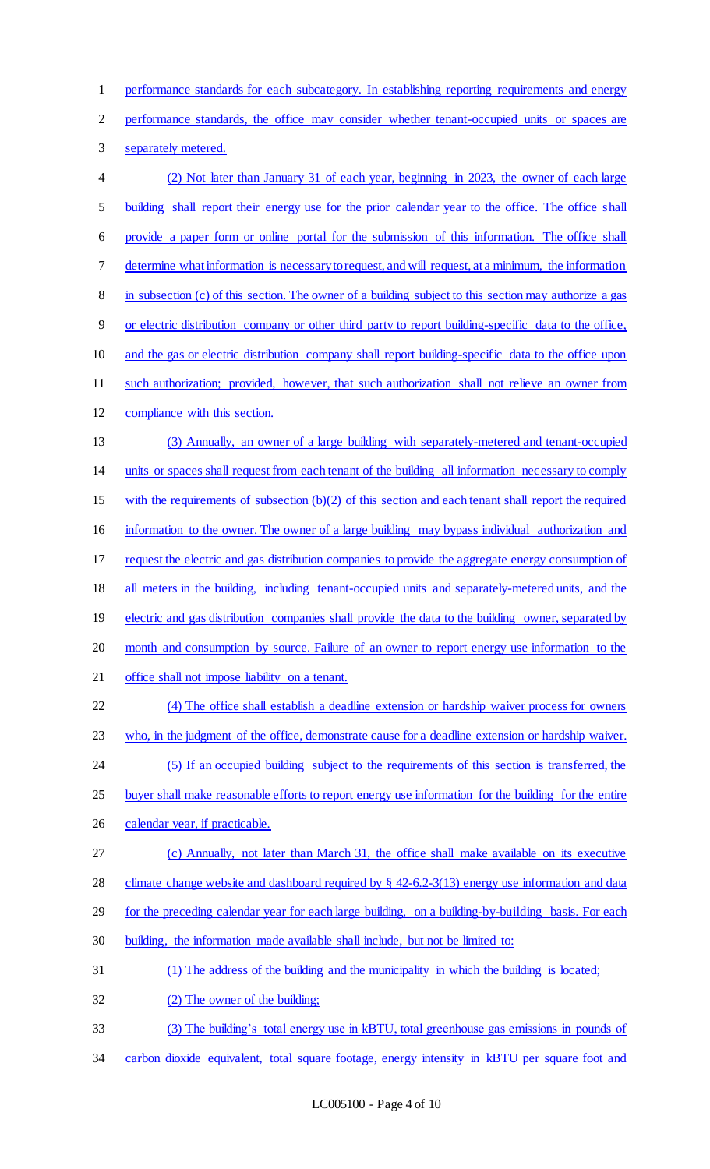performance standards for each subcategory. In establishing reporting requirements and energy

performance standards, the office may consider whether tenant-occupied units or spaces are

separately metered.

 (2) Not later than January 31 of each year, beginning in 2023, the owner of each large 5 building shall report their energy use for the prior calendar year to the office. The office shall provide a paper form or online portal for the submission of this information. The office shall determine what information is necessary to request, and will request, at a minimum, the information in subsection (c) of this section. The owner of a building subject to this section may authorize a gas or electric distribution company or other third party to report building-specific data to the office, and the gas or electric distribution company shall report building-specific data to the office upon such authorization; provided, however, that such authorization shall not relieve an owner from compliance with this section. (3) Annually, an owner of a large building with separately-metered and tenant-occupied units or spaces shall request from each tenant of the building all information necessary to comply with the requirements of subsection (b)(2) of this section and each tenant shall report the required information to the owner. The owner of a large building may bypass individual authorization and request the electric and gas distribution companies to provide the aggregate energy consumption of 18 all meters in the building, including tenant-occupied units and separately-metered units, and the 19 electric and gas distribution companies shall provide the data to the building owner, separated by month and consumption by source. Failure of an owner to report energy use information to the office shall not impose liability on a tenant. (4) The office shall establish a deadline extension or hardship waiver process for owners who, in the judgment of the office, demonstrate cause for a deadline extension or hardship waiver. (5) If an occupied building subject to the requirements of this section is transferred, the 25 buyer shall make reasonable efforts to report energy use information for the building for the entire 26 calendar year, if practicable. (c) Annually, not later than March 31, the office shall make available on its executive climate change website and dashboard required by § 42-6.2-3(13) energy use information and data 29 for the preceding calendar year for each large building, on a building-by-building basis. For each building, the information made available shall include, but not be limited to: (1) The address of the building and the municipality in which the building is located; (2) The owner of the building; (3) The building's total energy use in kBTU, total greenhouse gas emissions in pounds of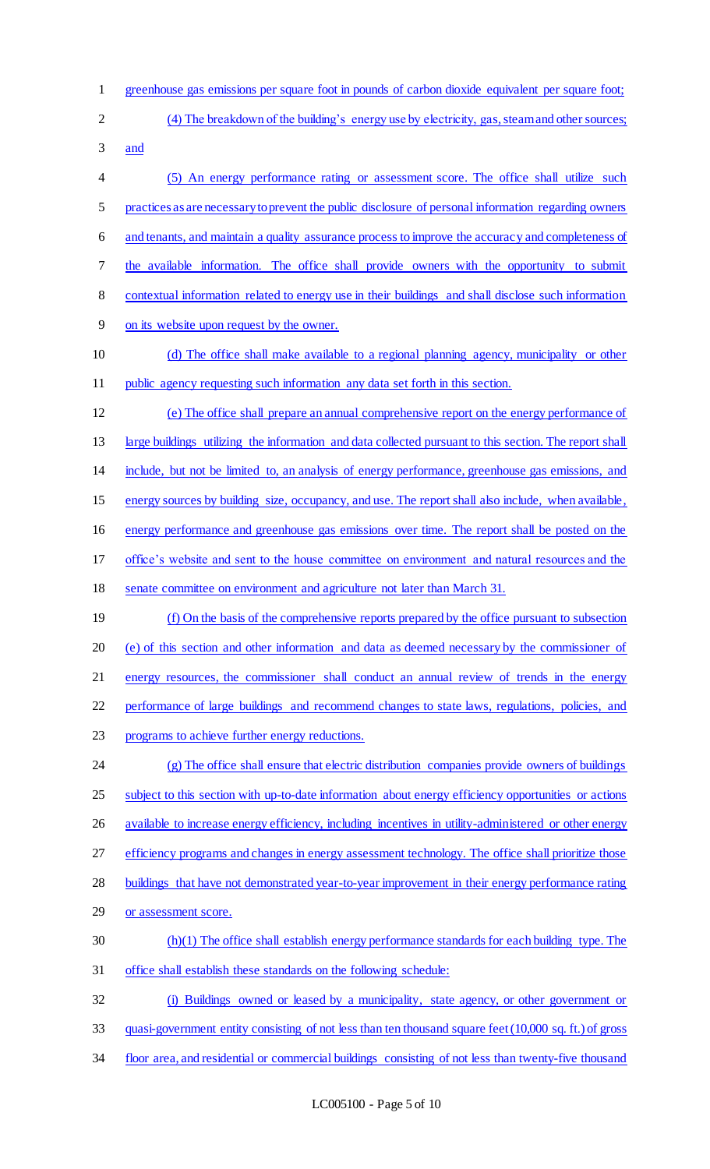- greenhouse gas emissions per square foot in pounds of carbon dioxide equivalent per square foot; (4) The breakdown of the building's energy use by electricity, gas, steam and other sources;
- and

 (5) An energy performance rating or assessment score. The office shall utilize such practices as are necessary to prevent the public disclosure of personal information regarding owners and tenants, and maintain a quality assurance process to improve the accuracy and completeness of the available information. The office shall provide owners with the opportunity to submit contextual information related to energy use in their buildings and shall disclose such information on its website upon request by the owner. (d) The office shall make available to a regional planning agency, municipality or other public agency requesting such information any data set forth in this section. (e) The office shall prepare an annual comprehensive report on the energy performance of large buildings utilizing the information and data collected pursuant to this section. The report shall include, but not be limited to, an analysis of energy performance, greenhouse gas emissions, and energy sources by building size, occupancy, and use. The report shall also include, when available, energy performance and greenhouse gas emissions over time. The report shall be posted on the office's website and sent to the house committee on environment and natural resources and the senate committee on environment and agriculture not later than March 31. (f) On the basis of the comprehensive reports prepared by the office pursuant to subsection (e) of this section and other information and data as deemed necessary by the commissioner of

energy resources, the commissioner shall conduct an annual review of trends in the energy

performance of large buildings and recommend changes to state laws, regulations, policies, and

programs to achieve further energy reductions.

 (g) The office shall ensure that electric distribution companies provide owners of buildings 25 subject to this section with up-to-date information about energy efficiency opportunities or actions 26 available to increase energy efficiency, including incentives in utility-administered or other energy 27 efficiency programs and changes in energy assessment technology. The office shall prioritize those 28 buildings that have not demonstrated year-to-year improvement in their energy performance rating 29 or assessment score. (h)(1) The office shall establish energy performance standards for each building type. The office shall establish these standards on the following schedule:

 (i) Buildings owned or leased by a municipality, state agency, or other government or quasi-government entity consisting of not less than ten thousand square feet(10,000 sq. ft.) of gross

floor area, and residential or commercial buildings consisting of not less than twenty-five thousand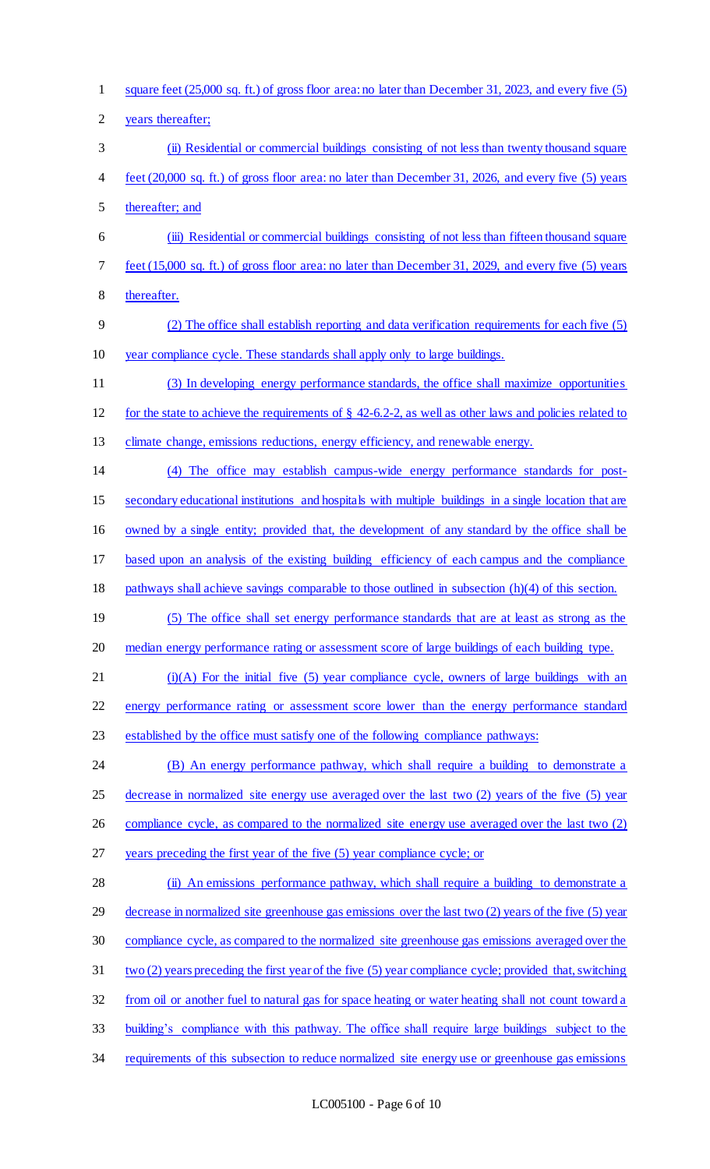square feet (25,000 sq. ft.) of gross floor area: no later than December 31, 2023, and every five (5) years thereafter; (ii) Residential or commercial buildings consisting of not less than twenty thousand square feet (20,000 sq. ft.) of gross floor area: no later than December 31, 2026, and every five (5) years thereafter; and (iii) Residential or commercial buildings consisting of not less than fifteen thousand square feet (15,000 sq. ft.) of gross floor area: no later than December 31, 2029, and every five (5) years thereafter. (2) The office shall establish reporting and data verification requirements for each five (5) year compliance cycle. These standards shall apply only to large buildings. (3) In developing energy performance standards, the office shall maximize opportunities for the state to achieve the requirements of § 42-6.2-2, as well as other laws and policies related to 13 climate change, emissions reductions, energy efficiency, and renewable energy. (4) The office may establish campus-wide energy performance standards for post- secondary educational institutions and hospitals with multiple buildings in a single location that are owned by a single entity; provided that, the development of any standard by the office shall be based upon an analysis of the existing building efficiency of each campus and the compliance pathways shall achieve savings comparable to those outlined in subsection (h)(4) of this section. (5) The office shall set energy performance standards that are at least as strong as the median energy performance rating or assessment score of large buildings of each building type. (i)(A) For the initial five (5) year compliance cycle, owners of large buildings with an energy performance rating or assessment score lower than the energy performance standard established by the office must satisfy one of the following compliance pathways: (B) An energy performance pathway, which shall require a building to demonstrate a 25 decrease in normalized site energy use averaged over the last two (2) years of the five (5) year 26 compliance cycle, as compared to the normalized site energy use averaged over the last two (2) years preceding the first year of the five (5) year compliance cycle; or 28 (ii) An emissions performance pathway, which shall require a building to demonstrate a decrease in normalized site greenhouse gas emissions over the last two (2) years of the five (5) year compliance cycle, as compared to the normalized site greenhouse gas emissions averaged over the two (2) years preceding the first year of the five (5) year compliance cycle; provided that,switching from oil or another fuel to natural gas for space heating or water heating shall not count toward a building's compliance with this pathway. The office shall require large buildings subject to the 34 requirements of this subsection to reduce normalized site energy use or greenhouse gas emissions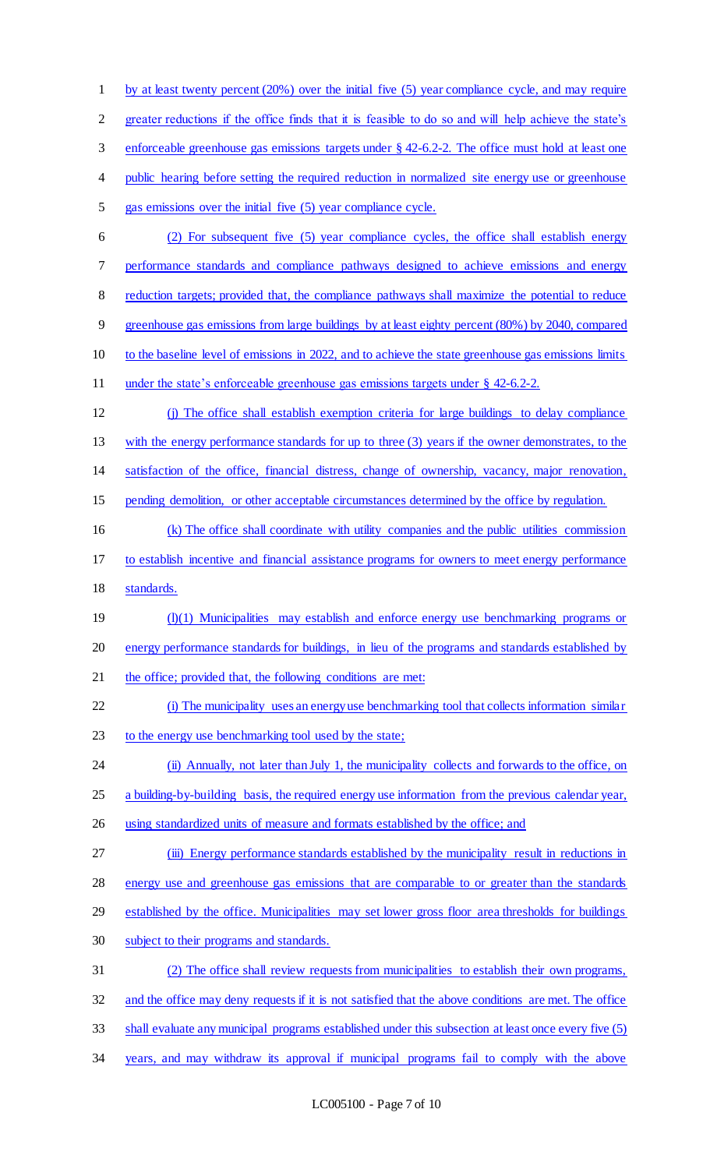1 by at least twenty percent (20%) over the initial five (5) year compliance cycle, and may require greater reductions if the office finds that it is feasible to do so and will help achieve the state's enforceable greenhouse gas emissions targets under § 42-6.2-2. The office must hold at least one 4 public hearing before setting the required reduction in normalized site energy use or greenhouse gas emissions over the initial five (5) year compliance cycle. (2) For subsequent five (5) year compliance cycles, the office shall establish energy performance standards and compliance pathways designed to achieve emissions and energy 8 reduction targets; provided that, the compliance pathways shall maximize the potential to reduce greenhouse gas emissions from large buildings by at least eighty percent (80%) by 2040, compared to the baseline level of emissions in 2022, and to achieve the state greenhouse gas emissions limits under the state's enforceable greenhouse gas emissions targets under § 42-6.2-2. (j) The office shall establish exemption criteria for large buildings to delay compliance with the energy performance standards for up to three (3) years if the owner demonstrates, to the satisfaction of the office, financial distress, change of ownership, vacancy, major renovation, pending demolition, or other acceptable circumstances determined by the office by regulation. (k) The office shall coordinate with utility companies and the public utilities commission to establish incentive and financial assistance programs for owners to meet energy performance standards. 19 (l)(1) Municipalities may establish and enforce energy use benchmarking programs or energy performance standards for buildings, in lieu of the programs and standards established by 21 the office; provided that, the following conditions are met: (i) The municipality uses an energy use benchmarking tool that collects information similar 23 to the energy use benchmarking tool used by the state; (ii) Annually, not later than July 1, the municipality collects and forwards to the office, on 25 a building-by-building basis, the required energy use information from the previous calendar year, using standardized units of measure and formats established by the office; and 27 (iii) Energy performance standards established by the municipality result in reductions in energy use and greenhouse gas emissions that are comparable to or greater than the standards established by the office. Municipalities may set lower gross floor area thresholds for buildings subject to their programs and standards. (2) The office shall review requests from municipalities to establish their own programs, and the office may deny requests if it is not satisfied that the above conditions are met. The office shall evaluate any municipal programs established under this subsection at least once every five (5) years, and may withdraw its approval if municipal programs fail to comply with the above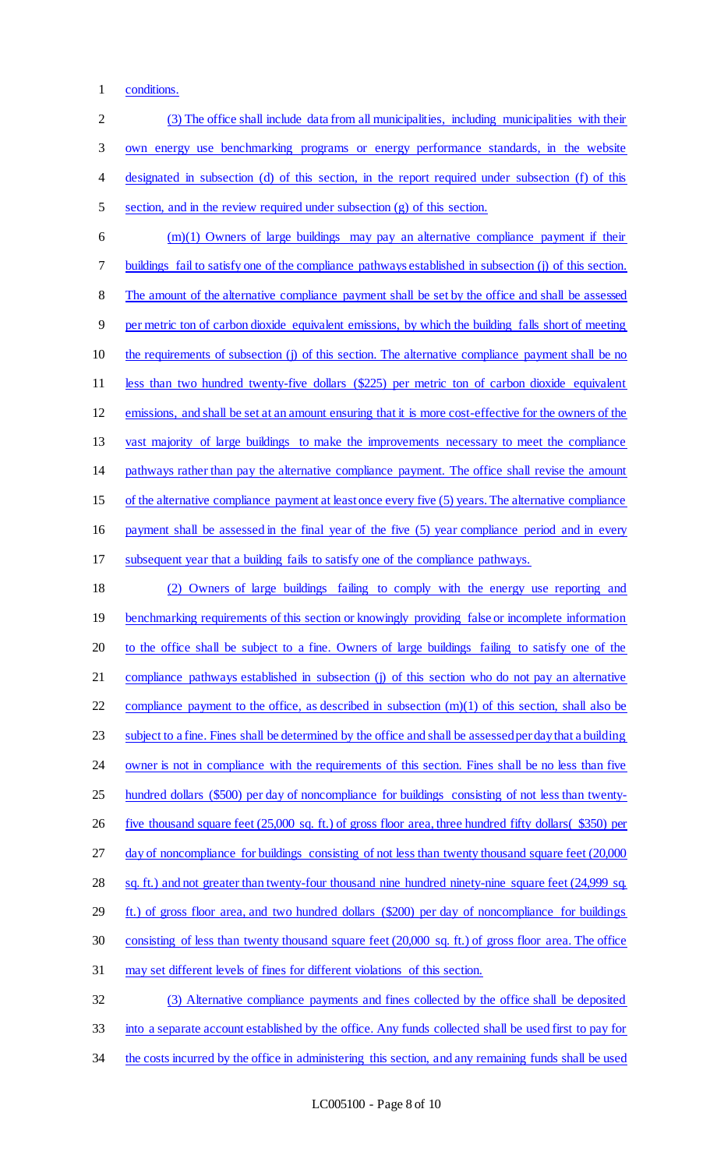conditions.

| $\overline{2}$ | (3) The office shall include data from all municipalities, including municipalities with their                 |
|----------------|----------------------------------------------------------------------------------------------------------------|
| 3              | own energy use benchmarking programs or energy performance standards, in the website                           |
| $\overline{4}$ | designated in subsection (d) of this section, in the report required under subsection (f) of this              |
| 5              | section, and in the review required under subsection (g) of this section.                                      |
| 6              | $(m)(1)$ Owners of large buildings may pay an alternative compliance payment if their                          |
| $\tau$         | buildings fail to satisfy one of the compliance pathways established in subsection (j) of this section.        |
| 8              | The amount of the alternative compliance payment shall be set by the office and shall be assessed              |
| $\overline{9}$ | per metric ton of carbon dioxide equivalent emissions, by which the building falls short of meeting            |
| 10             | the requirements of subsection (j) of this section. The alternative compliance payment shall be no             |
| 11             | less than two hundred twenty-five dollars (\$225) per metric ton of carbon dioxide equivalent                  |
| 12             | emissions, and shall be set at an amount ensuring that it is more cost-effective for the owners of the         |
| 13             | vast majority of large buildings to make the improvements necessary to meet the compliance                     |
| 14             | pathways rather than pay the alternative compliance payment. The office shall revise the amount                |
| 15             | of the alternative compliance payment at least once every five (5) years. The alternative compliance           |
| 16             | payment shall be assessed in the final year of the five (5) year compliance period and in every                |
| 17             | subsequent year that a building fails to satisfy one of the compliance pathways.                               |
| 18             | (2) Owners of large buildings failing to comply with the energy use reporting and                              |
| 19             | benchmarking requirements of this section or knowingly providing false or incomplete information               |
| 20             | to the office shall be subject to a fine. Owners of large buildings failing to satisfy one of the              |
| 21             | compliance pathways established in subsection (j) of this section who do not pay an alternative                |
| 22             | compliance payment to the office, as described in subsection $(m)(1)$ of this section, shall also be           |
| 23             | subject to a fine. Fines shall be determined by the office and shall be assessed per day that a building       |
| 24             | owner is not in compliance with the requirements of this section. Fines shall be no less than five             |
| 25             | hundred dollars (\$500) per day of noncompliance for buildings consisting of not less than twenty-             |
| 26             | five thousand square feet (25,000 sq. ft.) of gross floor area, three hundred fifty dollars (\$350) per        |
| 27             | day of noncompliance for buildings consisting of not less than twenty thousand square feet (20,000)            |
| 28             | sq. ft.) and not greater than twenty-four thousand nine hundred ninety-nine square feet (24,999 sq.            |
| 29             | ft.) of gross floor area, and two hundred dollars (\$200) per day of noncompliance for buildings               |
| 30             | consisting of less than twenty thousand square feet $(20,000 \text{ sq. ft.})$ of gross floor area. The office |
| 31             | may set different levels of fines for different violations of this section.                                    |
| 32             | (3) Alternative compliance payments and fines collected by the office shall be deposited                       |
| 33             | into a separate account established by the office. Any funds collected shall be used first to pay for          |
| 34             | the costs incurred by the office in administering this section, and any remaining funds shall be used          |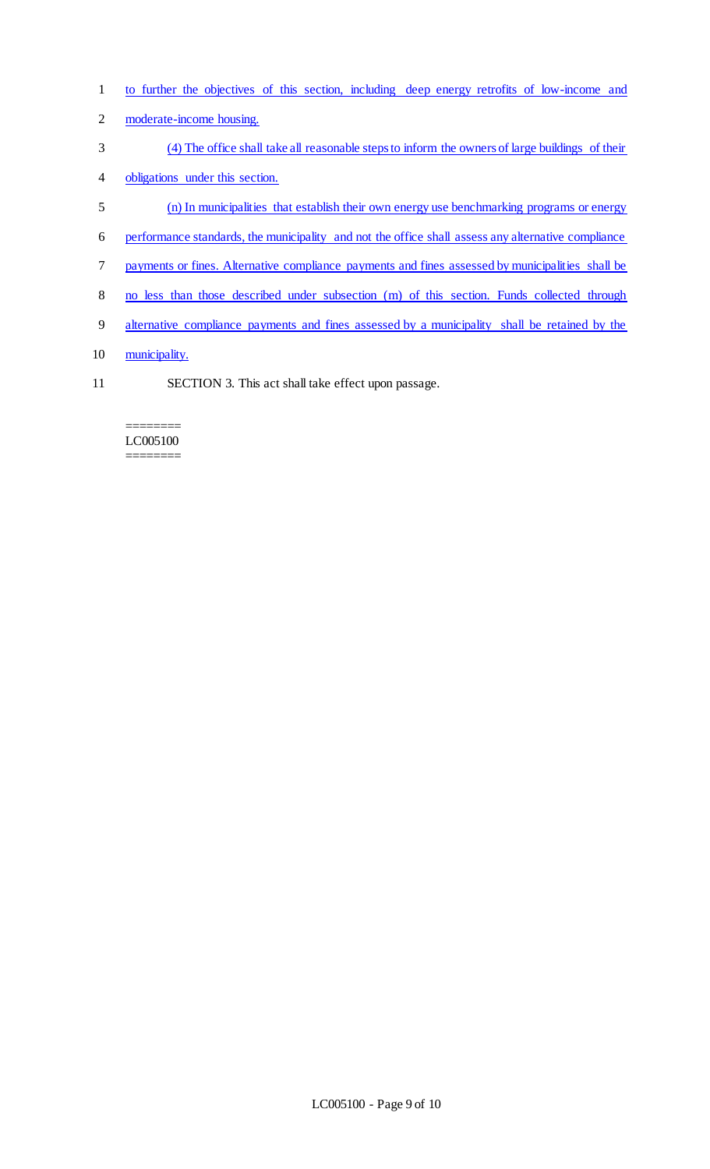- to further the objectives of this section, including deep energy retrofits of low-income and
- moderate-income housing.
- (4) The office shall take all reasonable steps to inform the owners of large buildings of their
- obligations under this section.
- (n) In municipalities that establish their own energy use benchmarking programs or energy
- performance standards, the municipality and not the office shall assess any alternative compliance
- payments or fines. Alternative compliance payments and fines assessed by municipalities shall be
- no less than those described under subsection (m) of this section. Funds collected through
- alternative compliance payments and fines assessed by a municipality shall be retained by the
- 10 municipality.
- SECTION 3. This act shall take effect upon passage.

#### ======== LC005100 ========